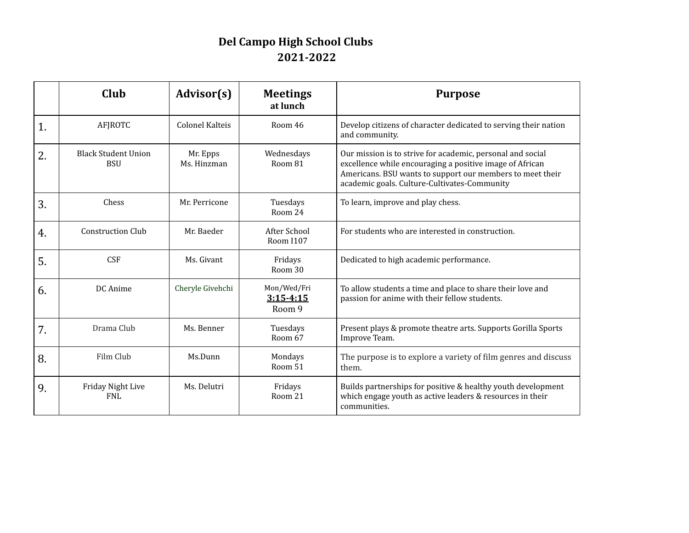## **Del Campo High School Clubs 2021-2022**

|    | Club                                     | Advisor(s)              | <b>Meetings</b><br>at lunch            | <b>Purpose</b>                                                                                                                                                                                                                      |
|----|------------------------------------------|-------------------------|----------------------------------------|-------------------------------------------------------------------------------------------------------------------------------------------------------------------------------------------------------------------------------------|
| 1. | <b>AFJROTC</b>                           | <b>Colonel Kalteis</b>  | Room 46                                | Develop citizens of character dedicated to serving their nation<br>and community.                                                                                                                                                   |
| 2. | <b>Black Student Union</b><br><b>BSU</b> | Mr. Epps<br>Ms. Hinzman | Wednesdays<br>Room 81                  | Our mission is to strive for academic, personal and social<br>excellence while encouraging a positive image of African<br>Americans. BSU wants to support our members to meet their<br>academic goals. Culture-Cultivates-Community |
| 3. | Chess                                    | Mr. Perricone           | Tuesdays<br>Room 24                    | To learn, improve and play chess.                                                                                                                                                                                                   |
| 4. | <b>Construction Club</b>                 | Mr. Baeder              | After School<br><b>Room I107</b>       | For students who are interested in construction.                                                                                                                                                                                    |
| 5. | <b>CSF</b>                               | Ms. Givant              | Fridays<br>Room 30                     | Dedicated to high academic performance.                                                                                                                                                                                             |
| 6. | DC Anime                                 | Cheryle Givehchi        | Mon/Wed/Fri<br>$3:15 - 4:15$<br>Room 9 | To allow students a time and place to share their love and<br>passion for anime with their fellow students.                                                                                                                         |
| 7. | Drama Club                               | Ms. Benner              | Tuesdays<br>Room 67                    | Present plays & promote theatre arts. Supports Gorilla Sports<br>Improve Team.                                                                                                                                                      |
| 8. | Film Club                                | Ms.Dunn                 | Mondays<br>Room 51                     | The purpose is to explore a variety of film genres and discuss<br>them.                                                                                                                                                             |
| 9. | Friday Night Live<br><b>FNL</b>          | Ms. Delutri             | Fridays<br>Room 21                     | Builds partnerships for positive & healthy youth development<br>which engage youth as active leaders & resources in their<br>communities.                                                                                           |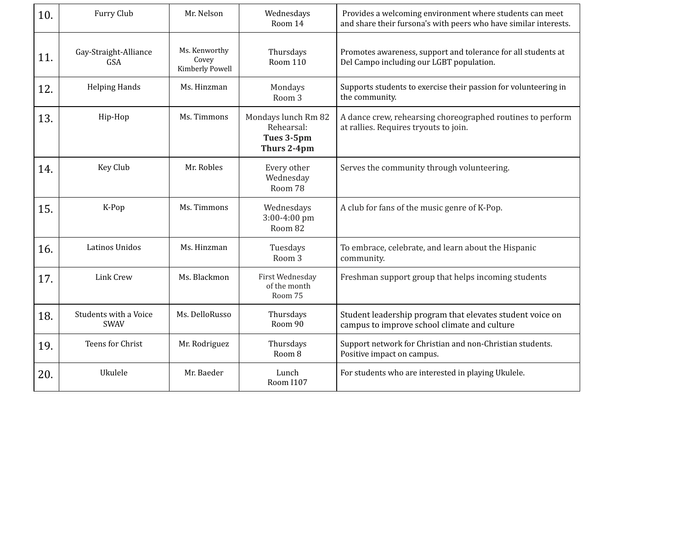| 10. | Furry Club                           | Mr. Nelson                                | Wednesdays<br>Room 14                                          | Provides a welcoming environment where students can meet<br>and share their fursona's with peers who have similar interests. |
|-----|--------------------------------------|-------------------------------------------|----------------------------------------------------------------|------------------------------------------------------------------------------------------------------------------------------|
| 11. | Gay-Straight-Alliance<br><b>GSA</b>  | Ms. Kenworthy<br>Covey<br>Kimberly Powell | Thursdays<br><b>Room 110</b>                                   | Promotes awareness, support and tolerance for all students at<br>Del Campo including our LGBT population.                    |
| 12. | <b>Helping Hands</b>                 | Ms. Hinzman                               | Mondays<br>Room 3                                              | Supports students to exercise their passion for volunteering in<br>the community.                                            |
| 13. | Hip-Hop                              | Ms. Timmons                               | Mondays lunch Rm 82<br>Rehearsal:<br>Tues 3-5pm<br>Thurs 2-4pm | A dance crew, rehearsing choreographed routines to perform<br>at rallies. Requires tryouts to join.                          |
| 14. | Key Club                             | Mr. Robles                                | Every other<br>Wednesday<br>Room 78                            | Serves the community through volunteering.                                                                                   |
| 15. | K-Pop                                | Ms. Timmons                               | Wednesdays<br>3:00-4:00 pm<br>Room 82                          | A club for fans of the music genre of K-Pop.                                                                                 |
| 16. | Latinos Unidos                       | Ms. Hinzman                               | Tuesdays<br>Room 3                                             | To embrace, celebrate, and learn about the Hispanic<br>community.                                                            |
| 17. | <b>Link Crew</b>                     | Ms. Blackmon                              | First Wednesday<br>of the month<br>Room 75                     | Freshman support group that helps incoming students                                                                          |
| 18. | Students with a Voice<br><b>SWAV</b> | Ms. DelloRusso                            | Thursdays<br>Room 90                                           | Student leadership program that elevates student voice on<br>campus to improve school climate and culture                    |
| 19. | Teens for Christ                     | Mr. Rodriguez                             | Thursdays<br>Room 8                                            | Support network for Christian and non-Christian students.<br>Positive impact on campus.                                      |
| 20. | Ukulele                              | Mr. Baeder                                | Lunch<br><b>Room I107</b>                                      | For students who are interested in playing Ukulele.                                                                          |